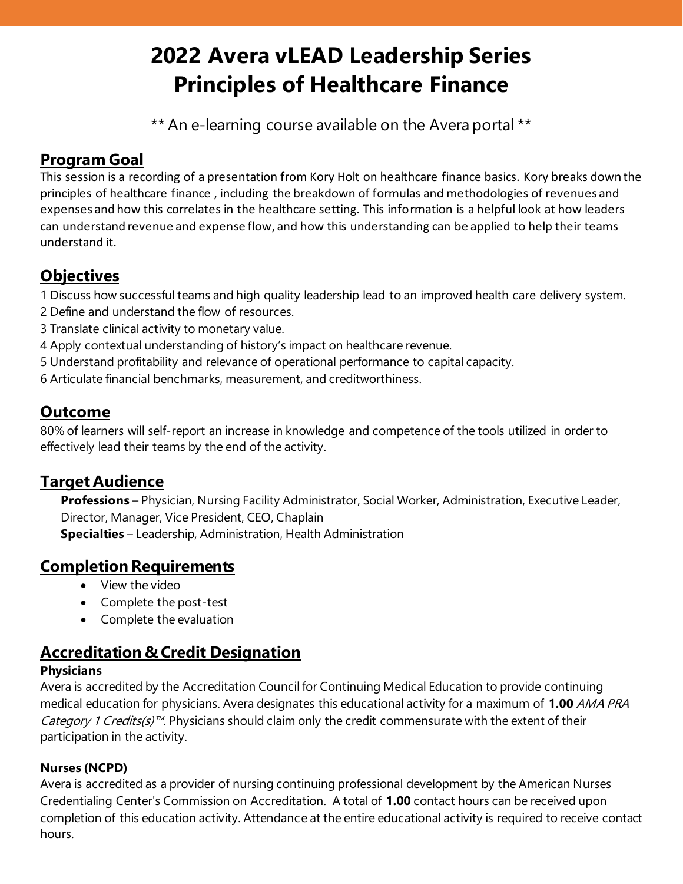# **2022 Avera vLEAD Leadership Series Principles of Healthcare Finance**

\*\* An e-learning course available on the Avera portal \*\*

# **Program Goal**

This session is a recording of a presentation from Kory Holt on healthcare finance basics. Kory breaks down the principles of healthcare finance , including the breakdown of formulas and methodologies of revenues and expenses and how this correlates in the healthcare setting. This information is a helpful look at how leaders can understand revenue and expense flow, and how this understanding can be applied to help their teams understand it.

## **Objectives**

1 Discuss how successful teams and high quality leadership lead to an improved health care delivery system.

- 2 Define and understand the flow of resources.
- 3 Translate clinical activity to monetary value.
- 4 Apply contextual understanding of history's impact on healthcare revenue.
- 5 Understand profitability and relevance of operational performance to capital capacity.
- 6 Articulate financial benchmarks, measurement, and creditworthiness.

## **Outcome**

80% of learners will self-report an increase in knowledge and competence of the tools utilized in order to effectively lead their teams by the end of the activity.

## **Target Audience**

**Professions** – Physician, Nursing Facility Administrator, Social Worker, Administration, Executive Leader, Director, Manager, Vice President, CEO, Chaplain **Specialties** – Leadership, Administration, Health Administration

## **Completion Requirements**

- View the video
- Complete the post-test
- Complete the evaluation

## **Accreditation & Credit Designation**

#### **Physicians**

Avera is accredited by the Accreditation Council for Continuing Medical Education to provide continuing medical education for physicians. Avera designates this educational activity for a maximum of **1.00** AMA PRA *Category 1 Credits(s)<sup>™</sup>*. Physicians should claim only the credit commensurate with the extent of their participation in the activity.

#### **Nurses (NCPD)**

Avera is accredited as a provider of nursing continuing professional development by the American Nurses Credentialing Center's Commission on Accreditation. A total of **1.00** contact hours can be received upon completion of this education activity. Attendance at the entire educational activity is required to receive contact hours.